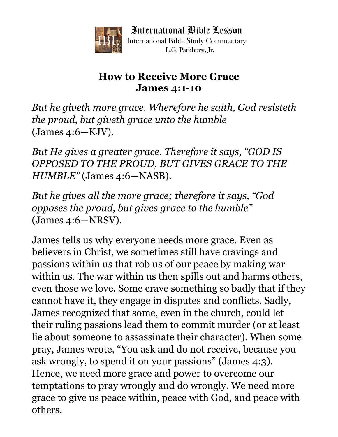

International Bible Lesson **International Bible Study Commentary** L.G. Parkhurst. Ir.

## **How to Receive More Grace James 4:1-10**

*But he giveth more grace. Wherefore he saith, God resisteth the proud, but giveth grace unto the humble* (James 4:6—KJV).

*But He gives a greater grace. Therefore it says, "GOD IS OPPOSED TO THE PROUD, BUT GIVES GRACE TO THE HUMBLE"* (James 4:6—NASB).

*But he gives all the more grace; therefore it says, "God opposes the proud, but gives grace to the humble"* (James 4:6—NRSV).

James tells us why everyone needs more grace. Even as believers in Christ, we sometimes still have cravings and passions within us that rob us of our peace by making war within us. The war within us then spills out and harms others, even those we love. Some crave something so badly that if they cannot have it, they engage in disputes and conflicts. Sadly, James recognized that some, even in the church, could let their ruling passions lead them to commit murder (or at least lie about someone to assassinate their character). When some pray, James wrote, "You ask and do not receive, because you ask wrongly, to spend it on your passions" (James 4:3). Hence, we need more grace and power to overcome our temptations to pray wrongly and do wrongly. We need more grace to give us peace within, peace with God, and peace with others.